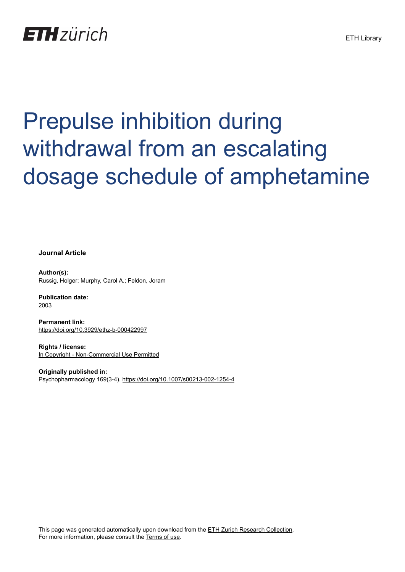## **ETH**zürich

# Prepulse inhibition during withdrawal from an escalating dosage schedule of amphetamine

**Journal Article**

**Author(s):** Russig, Holger; Murphy, Carol A.; Feldon, Joram

**Publication date:** 2003

**Permanent link:** <https://doi.org/10.3929/ethz-b-000422997>

**Rights / license:** [In Copyright - Non-Commercial Use Permitted](http://rightsstatements.org/page/InC-NC/1.0/)

**Originally published in:** Psychopharmacology 169(3-4), <https://doi.org/10.1007/s00213-002-1254-4>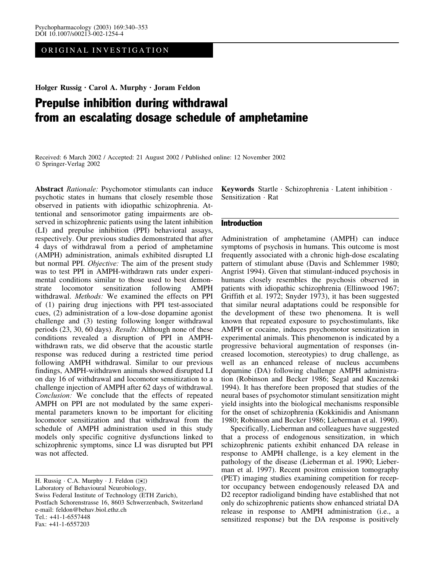ORIGINAL INVESTIGATION

Holger Russig · Carol A. Murphy · Joram Feldon

### Prepulse inhibition during withdrawal from an escalating dosage schedule of amphetamine

Received: 6 March 2002 / Accepted: 21 August 2002 / Published online: 12 November 2002 Springer-Verlag 2002

Abstract Rationale: Psychomotor stimulants can induce psychotic states in humans that closely resemble those observed in patients with idiopathic schizophrenia. Attentional and sensorimotor gating impairments are observed in schizophrenic patients using the latent inhibition (LI) and prepulse inhibition (PPI) behavioral assays, respectively. Our previous studies demonstrated that after 4 days of withdrawal from a period of amphetamine (AMPH) administration, animals exhibited disrupted LI but normal PPI. *Objective*: The aim of the present study was to test PPI in AMPH-withdrawn rats under experimental conditions similar to those used to best demonstrate locomotor sensitization following AMPH withdrawal. Methods: We examined the effects on PPI of (1) pairing drug injections with PPI test-associated cues, (2) administration of a low-dose dopamine agonist challenge and (3) testing following longer withdrawal periods (23, 30, 60 days). Results: Although none of these conditions revealed a disruption of PPI in AMPHwithdrawn rats, we did observe that the acoustic startle response was reduced during a restricted time period following AMPH withdrawal. Similar to our previous findings, AMPH-withdrawn animals showed disrupted LI on day 16 of withdrawal and locomotor sensitization to a challenge injection of AMPH after 62 days of withdrawal. Conclusion: We conclude that the effects of repeated AMPH on PPI are not modulated by the same experimental parameters known to be important for eliciting locomotor sensitization and that withdrawal from the schedule of AMPH administration used in this study models only specific cognitive dysfunctions linked to schizophrenic symptoms, since LI was disrupted but PPI was not affected.

H. Russig · C.A. Murphy · J. Feldon ( $\boxtimes$ )

Laboratory of Behavioural Neurobiology,

Swiss Federal Institute of Technology (ETH Zurich), Postfach Schorenstrasse 16, 8603 Schwerzenbach, Switzerland

e-mail: feldon@behav.biol.ethz.ch

Tel.: +41-1-6557448

Fax: +41-1-6557203

Keywords Startle · Schizophrenia · Latent inhibition · Sensitization · Rat

#### Introduction

Administration of amphetamine (AMPH) can induce symptoms of psychosis in humans. This outcome is most frequently associated with a chronic high-dose escalating pattern of stimulant abuse (Davis and Schlemmer 1980; Angrist 1994). Given that stimulant-induced psychosis in humans closely resembles the psychosis observed in patients with idiopathic schizophrenia (Ellinwood 1967; Griffith et al. 1972; Snyder 1973), it has been suggested that similar neural adaptations could be responsible for the development of these two phenomena. It is well known that repeated exposure to psychostimulants, like AMPH or cocaine, induces psychomotor sensitization in experimental animals. This phenomenon is indicated by a progressive behavioral augmentation of responses (increased locomotion, stereotypies) to drug challenge, as well as an enhanced release of nucleus accumbens dopamine (DA) following challenge AMPH administration (Robinson and Becker 1986; Segal and Kuczenski 1994). It has therefore been proposed that studies of the neural bases of psychomotor stimulant sensitization might yield insights into the biological mechanisms responsible for the onset of schizophrenia (Kokkinidis and Anismann 1980; Robinson and Becker 1986; Lieberman et al. 1990).

Specifically, Lieberman and colleagues have suggested that a process of endogenous sensitization, in which schizophrenic patients exhibit enhanced DA release in response to AMPH challenge, is a key element in the pathology of the disease (Lieberman et al. 1990; Lieberman et al. 1997). Recent positron emission tomography (PET) imaging studies examining competition for receptor occupancy between endogenously released DA and D2 receptor radioligand binding have established that not only do schizophrenic patients show enhanced striatal DA release in response to AMPH administration (i.e., a sensitized response) but the DA response is positively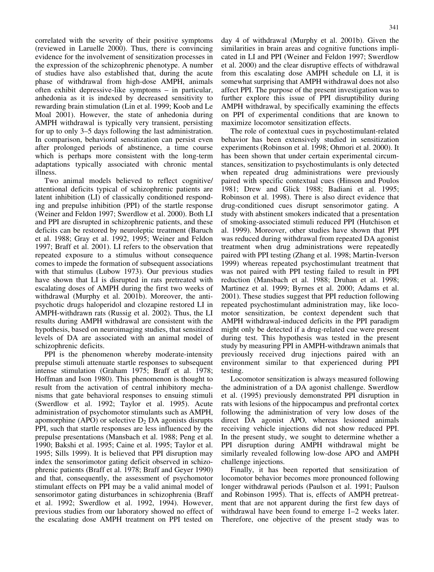correlated with the severity of their positive symptoms (reviewed in Laruelle 2000). Thus, there is convincing evidence for the involvement of sensitization processes in the expression of the schizophrenic phenotype. A number of studies have also established that, during the acute phase of withdrawal from high-dose AMPH, animals often exhibit depressive-like symptoms – in particular, anhedonia as it is indexed by decreased sensitivity to rewarding brain stimulation (Lin et al. 1999; Koob and Le Moal 2001). However, the state of anhedonia during AMPH withdrawal is typically very transient, persisting for up to only 3–5 days following the last administration. In comparison, behavioral sensitization can persist even after prolonged periods of abstinence, a time course which is perhaps more consistent with the long-term adaptations typically associated with chronic mental illness.

Two animal models believed to reflect cognitive/ attentional deficits typical of schizophrenic patients are latent inhibition (LI) of classically conditioned responding and prepulse inhibition (PPI) of the startle response (Weiner and Feldon 1997; Swerdlow et al. 2000). Both LI and PPI are disrupted in schizophrenic patients, and these deficits can be restored by neuroleptic treatment (Baruch et al. 1988; Gray et al. 1992, 1995; Weiner and Feldon 1997; Braff et al. 2001). LI refers to the observation that repeated exposure to a stimulus without consequence comes to impede the formation of subsequent associations with that stimulus (Lubow 1973). Our previous studies have shown that LI is disrupted in rats pretreated with escalating doses of AMPH during the first two weeks of withdrawal (Murphy et al. 2001b). Moreover, the antipsychotic drugs haloperidol and clozapine restored LI in AMPH-withdrawn rats (Russig et al. 2002). Thus, the LI results during AMPH withdrawal are consistent with the hypothesis, based on neuroimaging studies, that sensitized levels of DA are associated with an animal model of schizophrenic deficits.

PPI is the phenomenon whereby moderate-intensity prepulse stimuli attenuate startle responses to subsequent intense stimulation (Graham 1975; Braff et al. 1978; Hoffman and Ison 1980). This phenomenon is thought to result from the activation of central inhibitory mechanisms that gate behavioral responses to ensuing stimuli (Swerdlow et al. 1992; Taylor et al. 1995). Acute administration of psychomotor stimulants such as AMPH, apomorphine (APO) or selective  $D_2$  DA agonists disrupts PPI, such that startle responses are less influenced by the prepulse presentations (Mansbach et al. 1988; Peng et al. 1990; Bakshi et al. 1995; Caine et al. 1995; Taylor et al. 1995; Sills 1999). It is believed that PPI disruption may index the sensorimotor gating deficit observed in schizophrenic patients (Braff et al. 1978; Braff and Geyer 1990) and that, consequently, the assessment of psychomotor stimulant effects on PPI may be a valid animal model of sensorimotor gating disturbances in schizophrenia (Braff et al. 1992; Swerdlow et al. 1992, 1994). However, previous studies from our laboratory showed no effect of the escalating dose AMPH treatment on PPI tested on

day 4 of withdrawal (Murphy et al. 2001b). Given the similarities in brain areas and cognitive functions implicated in LI and PPI (Weiner and Feldon 1997; Swerdlow et al. 2000) and the clear disruptive effects of withdrawal from this escalating dose AMPH schedule on LI, it is somewhat surprising that AMPH withdrawal does not also affect PPI. The purpose of the present investigation was to further explore this issue of PPI disruptibility during AMPH withdrawal, by specifically examining the effects on PPI of experimental conditions that are known to maximize locomotor sensitization effects.

The role of contextual cues in psychostimulant-related behavior has been extensively studied in sensitization experiments (Robinson et al. 1998; Ohmori et al. 2000). It has been shown that under certain experimental circumstances, sensitization to psychostimulants is only detected when repeated drug administrations were previously paired with specific contextual cues (Hinson and Poulos 1981; Drew and Glick 1988; Badiani et al. 1995; Robinson et al. 1998). There is also direct evidence that drug-conditioned cues disrupt sensorimotor gating. A study with abstinent smokers indicated that a presentation of smoking-associated stimuli reduced PPI (Hutchison et al. 1999). Moreover, other studies have shown that PPI was reduced during withdrawal from repeated DA agonist treatment when drug administrations were repeatedly paired with PPI testing (Zhang et al. 1998; Martin-Iverson 1999) whereas repeated psychostimulant treatment that was not paired with PPI testing failed to result in PPI reduction (Mansbach et al. 1988; Druhan et al. 1998; Martinez et al. 1999; Byrnes et al. 2000; Adams et al. 2001). These studies suggest that PPI reduction following repeated psychostimulant administration may, like locomotor sensitization, be context dependent such that AMPH withdrawal-induced deficits in the PPI paradigm might only be detected if a drug-related cue were present during test. This hypothesis was tested in the present study by measuring PPI in AMPH-withdrawn animals that previously received drug injections paired with an environment similar to that experienced during PPI testing.

Locomotor sensitization is always measured following the administration of a DA agonist challenge. Swerdlow et al. (1995) previously demonstrated PPI disruption in rats with lesions of the hippocampus and prefrontal cortex following the administration of very low doses of the direct DA agonist APO, whereas lesioned animals receiving vehicle injections did not show reduced PPI. In the present study, we sought to determine whether a PPI disruption during AMPH withdrawal might be similarly revealed following low-dose APO and AMPH challenge injections.

Finally, it has been reported that sensitization of locomotor behavior becomes more pronounced following longer withdrawal periods (Paulson et al. 1991; Paulson and Robinson 1995). That is, effects of AMPH pretreatment that are not apparent during the first few days of withdrawal have been found to emerge 1–2 weeks later. Therefore, one objective of the present study was to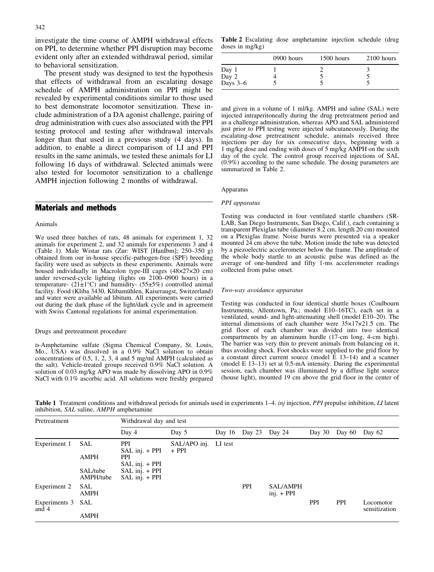investigate the time course of AMPH withdrawal effects on PPI, to determine whether PPI disruption may become evident only after an extended withdrawal period, similar to behavioral sensitization.

The present study was designed to test the hypothesis that effects of withdrawal from an escalating dosage schedule of AMPH administration on PPI might be revealed by experimental conditions similar to those used to best demonstrate locomotor sensitization. These include administration of a DA agonist challenge, pairing of drug administration with cues also associated with the PPI testing protocol and testing after withdrawal intervals longer than that used in a previous study (4 days). In addition, to enable a direct comparison of LI and PPI results in the same animals, we tested these animals for LI following 16 days of withdrawal. Selected animals were also tested for locomotor sensitization to a challenge AMPH injection following 2 months of withdrawal.

#### Materials and methods

#### Animals

We used three batches of rats, 48 animals for experiment 1, 32 animals for experiment 2, and 32 animals for experiments 3 and 4 (Table 1). Male Wistar rats (Zur: WIST [HanIbm]; 250–350 g) obtained from our in-house specific-pathogen-free (SPF) breeding facility were used as subjects in these experiments. Animals were housed individually in Macrolon type-III cages (48×27×20 cm) under reversed-cycle lighting (lights on 2100–0900 hours) in a temperature- (21±1°C) and humidity- (55±5%) controlled animal facility. Food (Kliba 3430, Klibamühlen, Kaiseraugst, Switzerland) and water were available ad libitum. All experiments were carried out during the dark phase of the light/dark cycle and in agreement with Swiss Cantonal regulations for animal experimentation.

#### Drugs and pretreatment procedure

*d*-Amphetamine sulfate (Sigma Chemical Company, St. Louis, Mo., USA) was dissolved in a 0.9% NaCl solution to obtain concentrations of 0.5, 1, 2, 3, 4 and 5 mg/ml AMPH (calculated as the salt). Vehicle-treated groups received 0.9% NaCl solution. A solution of 0.03 mg/kg APO was made by dissolving APO in 0.9% NaCl with 0.1% ascorbic acid. All solutions were freshly prepared

Table 2 Escalating dose amphetamine injection schedule (drug doses in mg/kg)

|                            | 0900 hours | 1500 hours | $2100$ hours |  |  |
|----------------------------|------------|------------|--------------|--|--|
|                            |            |            |              |  |  |
|                            |            |            |              |  |  |
| Day 1<br>Day 2<br>Days 3–6 |            |            |              |  |  |

and given in a volume of 1 ml/kg. AMPH and saline (SAL) were injected intraperitoneally during the drug pretreatment period and as a challenge administration, whereas APO and SAL administered just prior to PPI testing were injected subcutaneously. During the escalating-dose pretreatment schedule, animals received three injections per day for six consecutive days, beginning with a 1 mg/kg dose and ending with doses of 5 mg/kg AMPH on the sixth day of the cycle. The control group received injections of SAL (0.9%) according to the same schedule. The dosing parameters are summarized in Table 2.

#### Apparatus

#### PPI apparatus

Testing was conducted in four ventilated startle chambers (SR-LAB, San Diego Instruments, San Diego, Calif.), each containing a transparent Plexiglas tube (diameter 8.2 cm, length 20 cm) mounted on a Plexiglas frame. Noise bursts were presented via a speaker mounted 24 cm above the tube. Motion inside the tube was detected by a piezoelectric accelerometer below the frame. The amplitude of the whole body startle to an acoustic pulse was defined as the average of one-hundred and fifty 1-ms accelerometer readings collected from pulse onset.

#### Two-way avoidance apparatus

Testing was conducted in four identical shuttle boxes (Coulbourn Instruments, Allentown, Pa.; model E10–16TC), each set in a ventilated, sound- and light-attenuating shell (model E10–20). The internal dimensions of each chamber were  $35 \times 17 \times 21.5$  cm. The grid floor of each chamber was divided into two identical compartments by an aluminum hurdle (17-cm long, 4-cm high). The barrier was very thin to prevent animals from balancing on it, thus avoiding shock. Foot shocks were supplied to the grid floor by a constant direct current source (model  $\hat{E}$  13–14) and a scanner (model E 13–13) set at 0.5-mA intensity. During the experimental session, each chamber was illuminated by a diffuse light source (house light), mounted 19 cm above the grid floor in the center of

Table 1 Treatment conditions and withdrawal periods for animals used in experiments 1–4. *inj* injection, *PPI* prepulse inhibition, *LI* latent inhibition, SAL saline, AMPH amphetamine

| Pretreatment               |                           | Withdrawal day and test          |                         |         |                   |                                 |            |            |                            |  |
|----------------------------|---------------------------|----------------------------------|-------------------------|---------|-------------------|---------------------------------|------------|------------|----------------------------|--|
|                            |                           | Day 4                            | Day 5                   |         | Day $16$ Day $23$ | Day 24                          | Day 30     | Day 60     | Day 62                     |  |
| Experiment 1               | <b>SAL</b>                | <b>PPI</b><br>SAL inj. + PPI     | SAL/APO inj.<br>$+$ PPI | LI test |                   |                                 |            |            |                            |  |
|                            | <b>AMPH</b>               | PPI<br>SAL inj. + PPI            |                         |         |                   |                                 |            |            |                            |  |
|                            | SAL/tube<br>AMPH/tube     | SAL inj. + PPI<br>SAL inj. + PPI |                         |         |                   |                                 |            |            |                            |  |
| Experiment 2               | <b>SAL</b><br><b>AMPH</b> |                                  |                         |         | <b>PPI</b>        | <b>SAL/AMPH</b><br>$inj. + PPI$ |            |            |                            |  |
| Experiments 3 SAL<br>and 4 |                           |                                  |                         |         |                   |                                 | <b>PPI</b> | <b>PPI</b> | Locomotor<br>sensitization |  |
|                            | <b>AMPH</b>               |                                  |                         |         |                   |                                 |            |            |                            |  |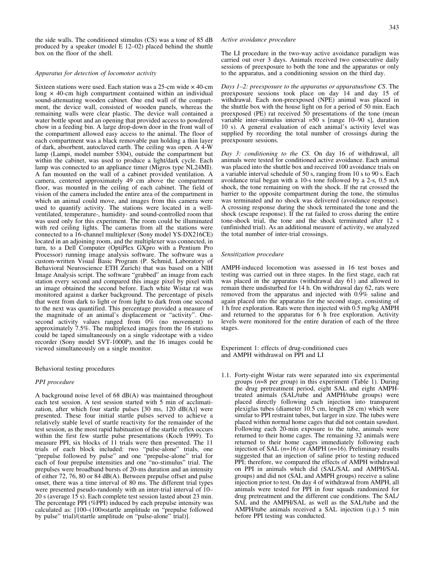the side walls. The conditioned stimulus (CS) was a tone of 85 dB produced by a speaker (model E 12–02) placed behind the shuttle box on the floor of the shell.

#### Apparatus for detection of locomotor activity

Sixteen stations were used. Each station was a  $25$ -cm wide  $\times$  40-cm long  $\times$  40-cm high compartment contained within an individual sound-attenuating wooden cabinet. One end wall of the compartment, the device wall, consisted of wooden panels, whereas the remaining walls were clear plastic. The device wall contained a water bottle spout and an opening that provided access to powdered chow in a feeding bin. A large drop-down door in the front wall of the compartment allowed easy access to the animal. The floor of each compartment was a black removable pan holding a thin layer of dark, absorbent, autoclaved earth. The ceiling was open. A 4-W lamp (Lampi, model number 5304), outside the compartment but within the cabinet, was used to produce a light/dark cycle. Each lamp was connected to an appliance timer (Migros type NL24MI). A fan mounted on the wall of a cabinet provided ventilation. A camera, centered approximately 49 cm above the compartment floor, was mounted in the ceiling of each cabinet. The field of vision of the camera included the entire area of the compartment in which an animal could move, and images from this camera were used to quantify activity. The stations were located in a wellventilated, temperature-, humidity- and sound-controlled room that was used only for this experiment. The room could be illuminated with red ceiling lights. The cameras from all the stations were connected to a 16-channel multiplexer (Sony model YS-DX216CE) located in an adjoining room, and the multiplexer was connected, in turn, to a Dell Computer (OptiPlex GXpro with a Pentium Pro Processor) running image analysis software. The software was a custom-written Visual Basic Program (P. Schmid, Laboratory of Behavioral Neuroscience ETH Zurich) that was based on a NIH Image Analysis script. The software "grabbed" an image from each station every second and compared this image pixel by pixel with an image obtained the second before. Each white Wistar rat was monitored against a darker background. The percentage of pixels that went from dark to light or from light to dark from one second to the next was quantified. This percentage provided a measure of the magnitude of an animal's displacement or "activity". Onesecond activity values ranged from 0% (no movement) to approximately 7.5%. The multiplexed images from the 16 stations could be taped simultaneously on a single videotape with a video recorder (Sony model SVT-1000P), and the 16 images could be viewed simultaneously on a single monitor.

#### Behavioral testing procedures

#### PPI procedure

A background noise level of 68 dB(A) was maintained throughout each test session. A test session started with 5 min of acclimatization, after which four startle pulses  $[30 \text{ ms}, 120 \text{ dB}(A)]$  were presented. These four initial startle pulses served to achieve a relatively stable level of startle reactivity for the remainder of the test session, as the most rapid habituation of the startle reflex occurs within the first few startle pulse presentations (Koch 1999). To measure PPI, six blocks of 11 trials were then presented. The 11 trials of each block included: two "pulse-alone" trials, one "prepulse followed by pulse" and one "prepulse-alone" trial for each of four prepulse intensities and one "no-stimulus" trial. The prepulses were broadband bursts of 20-ms duration and an intensity of either 72, 76, 80 or 84 dB(A). Between prepulse offset and pulse onset, there was a time interval of 80 ms. The different trial types were presented pseudo-randomly with an inter-trial interval of 10– 20 s (average 15 s). Each complete test session lasted about 23 min. The percentage PPI (%PPI) induced by each prepulse intensity was calculated as: [100-(100xstartle amplitude on "prepulse followed by pulse" trial)/(startle amplitude on "pulse-alone" trial)].

#### Active avoidance procedure

The LI procedure in the two-way active avoidance paradigm was carried out over 3 days. Animals received two consecutive daily sessions of preexposure to both the tone and the apparatus or only to the apparatus, and a conditioning session on the third day.

Days 1–2: preexposure to the apparatus or apparatus/tone CS. The preexposure sessions took place on day 14 and day 15 of withdrawal. Each non-preexposed (NPE) animal was placed in the shuttle box with the house light on for a period of 50 min. Each preexposed (PE) rat received 50 presentations of the tone (mean variable inter-stimulus interval =50 s [range 10–90 s], duration 10 s). A general evaluation of each animal's activity level was supplied by recording the total number of crossings during the preexposure sessions.

Day 3: conditioning to the CS. On day 16 of withdrawal, all animals were tested for conditioned active avoidance. Each animal was placed into the shuttle box and received 100 avoidance trials on a variable interval schedule of 50 s, ranging from 10 s to 90 s. Each avoidance trial began with a 10-s tone followed by a 2-s, 0.5 mA shock, the tone remaining on with the shock. If the rat crossed the barrier to the opposite compartment during the tone, the stimulus was terminated and no shock was delivered (avoidance response). A crossing response during the shock terminated the tone and the shock (escape response). If the rat failed to cross during the entire tone-shock trial, the tone and the shock terminated after 12 s (unfinished trial). As an additional measure of activity, we analyzed the total number of inter-trial crossings.

#### Sensitization procedure

AMPH-induced locomotion was assessed in 16 test boxes and testing was carried out in three stages. In the first stage, each rat was placed in the apparatus (withdrawal day 61) and allowed to remain there undisturbed for 14 h. On withdrawal day 62, rats were removed from the apparatus and injected with 0.9% saline and again placed into the apparatus for the second stage, consisting of 1 h free exploration. Rats were then injected with 0.5 mg/kg AMPH and returned to the apparatus for 6 h free exploration. Activity levels were monitored for the entire duration of each of the three stages.

Experiment 1: effects of drug-conditioned cues and AMPH withdrawal on PPI and LI

1.1. Forty-eight Wistar rats were separated into six experimental groups  $(n=8$  per group) in this experiment (Table 1). During the drug pretreatment period, eight SAL and eight AMPHtreated animals (SAL/tube and AMPH/tube groups) were placed directly following each injection into transparent plexiglas tubes (diameter 10.5 cm, length 28 cm) which were similar to PPI restraint tubes, but larger in size. The tubes were placed within normal home cages that did not contain sawdust. Following each 20-min exposure to the tube, animals were returned to their home cages. The remaining 32 animals were returned to their home cages immediately following each injection of SAL  $(n=16)$  or AMPH  $(n=16)$ . Preliminary results suggested that an injection of saline prior to testing reduced PPI; therefore, we compared the effects of AMPH withdrawal on PPI in animals which did (SAL/SAL and AMPH/SAL groups) and did not (SAL and AMPH groups) receive a saline injection prior to test. On day 4 of withdrawal from AMPH, all animals were tested for PPI in four squads randomized for drug pretreatment and the different cue conditions. The SAL/ SAL and the AMPH/SAL as well as the SAL/tube and the AMPH/tube animals received a SAL injection (i.p.) 5 min before PPI testing was conducted.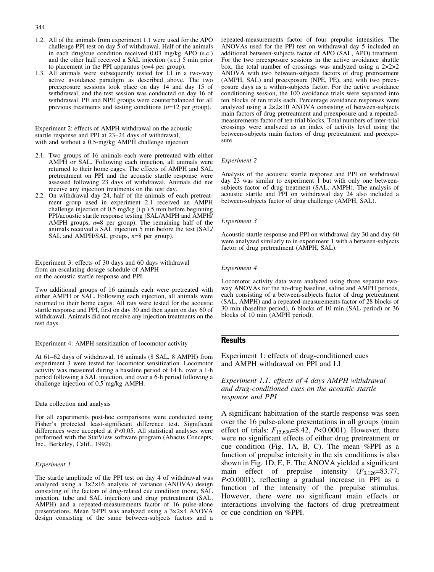- 1.2. All of the animals from experiment 1.1 were used for the APO challenge PPI test on day 5 of withdrawal. Half of the animals in each drug/cue condition received 0.03 mg/kg APO (s.c.) and the other half received a SAL injection (s.c.) 5 min prior to placement in the PPI apparatus  $(n=4$  per group).
- 1.3. All animals were subsequently tested for LI in a two-way active avoidance paradigm as described above. The two preexposure sessions took place on day 14 and day 15 of withdrawal, and the test session was conducted on day 16 of withdrawal. PE and NPE groups were counterbalanced for all previous treatments and testing conditions (n=12 per group).

Experiment 2: effects of AMPH withdrawal on the acoustic startle response and PPI at 23–24 days of withdrawal, with and without a 0.5-mg/kg AMPH challenge injection

- 2.1. Two groups of 16 animals each were pretreated with either AMPH or SAL. Following each injection, all animals were returned to their home cages. The effects of AMPH and SAL pretreatment on PPI and the acoustic startle response were assessed following 23 days of withdrawal. Animals did not receive any injection treatments on the test day.
- 2.2. On withdrawal day 24, half of the animals of each pretreatment group used in experiment 2.1 received an AMPH challenge injection of 0.5 mg/kg (i.p.) 5 min before beginning PPI/acoustic startle response testing (SAL/AMPH and AMPH/ AMPH groups,  $n=8$  per group). The remaining half of the animals received a SAL injection 5 min before the test (SAL/ SAL and AMPH/SAL groups,  $n=8$  per group).

Experiment 3: effects of 30 days and 60 days withdrawal from an escalating dosage schedule of AMPH on the acoustic startle response and PPI

Two additional groups of 16 animals each were pretreated with either AMPH or SAL. Following each injection, all animals were returned to their home cages. All rats were tested for the acoustic startle response and PPI, first on day 30 and then again on day 60 of withdrawal. Animals did not receive any injection treatments on the test days.

Experiment 4: AMPH sensitization of locomotor activity

At 61–62 days of withdrawal, 16 animals (8 SAL, 8 AMPH) from experiment 3 were tested for locomotor sensitization. Locomotor activity was measured during a baseline period of 14 h, over a 1-h period following a SAL injection, and over a 6-h period following a challenge injection of 0.5 mg/kg AMPH.

Data collection and analysis

For all experiments post-hoc comparisons were conducted using Fisher's protected least-significant difference test. Significant differences were accepted at  $P<0.05$ . All statistical analyses were performed with the StatView software program (Abacus Concepts, Inc., Berkeley, Calif., 1992).

#### Experiment 1

The startle amplitude of the PPI test on day 4 of withdrawal was analyzed using a 3×2×16 analysis of variance (ANOVA) design consisting of the factors of drug-related cue condition (none, SAL injection, tube and SAL injection) and drug pretreatment (SAL, AMPH) and a repeated-measurements factor of 16 pulse-alone presentations. Mean %PPI was analyzed using a 3×2×4 ANOVA design consisting of the same between-subjects factors and a

repeated-measurements factor of four prepulse intensities. The ANOVAs used for the PPI test on withdrawal day 5 included an additional between-subjects factor of APO (SAL, APO) treatment. For the two preexposure sessions in the active avoidance shuttle box, the total number of crossings was analyzed using a  $2\times2\times2$ ANOVA with two between-subjects factors of drug pretreatment (AMPH, SAL) and preexposure (NPE, PE), and with two preexposure days as a within-subjects factor. For the active avoidance conditioning session, the 100 avoidance trials were separated into ten blocks of ten trials each. Percentage avoidance responses were analyzed using a 2×2×10 ANOVA consisting of between-subjects main factors of drug pretreatment and preexposure and a repeatedmeasurements factor of ten-trial blocks. Total numbers of inter-trial crossings were analyzed as an index of activity level using the between-subjects main factors of drug pretreatment and preexposure

#### Experiment 2

Analysis of the acoustic startle response and PPI on withdrawal day 23 was similar to experiment 1 but with only one betweensubjects factor of drug treatment (SAL, AMPH). The analysis of acoustic startle and PPI on withdrawal day 24 also included a between-subjects factor of drug challenge (AMPH, SAL).

#### Experiment 3

Acoustic startle response and PPI on withdrawal day 30 and day 60 were analyzed similarly to in experiment 1 with a between-subjects factor of drug pretreatment (AMPH, SAL).

#### Experiment 4

Locomotor activity data were analyzed using three separate twoway ANOVAs for the no-drug baseline, saline and AMPH periods, each consisting of a between-subjects factor of drug pretreatment (SAL, AMPH) and a repeated-measurements factor of 28 blocks of 30 min (baseline period), 6 blocks of 10 min (SAL period) or 36 blocks of 10 min (AMPH period).

#### **Results**

Experiment 1: effects of drug-conditioned cues and AMPH withdrawal on PPI and LI

Experiment 1.1: effects of 4 days AMPH withdrawal and drug-conditioned cues on the acoustic startle response and PPI

A significant habituation of the startle response was seen over the 16 pulse-alone presentations in all groups (main effect of trials:  $F_{15,630} = 8.42$ , P<0.0001). However, there were no significant effects of either drug pretreatment or cue condition (Fig. 1A, B, C). The mean %PPI as a function of prepulse intensity in the six conditions is also shown in Fig. 1D, E, F. The ANOVA yielded a significant main effect of prepulse intensity  $(F_{3,126}=83.77)$ , P<0.0001), reflecting a gradual increase in PPI as a function of the intensity of the prepulse stimulus. However, there were no significant main effects or interactions involving the factors of drug pretreatment or cue condition on %PPI.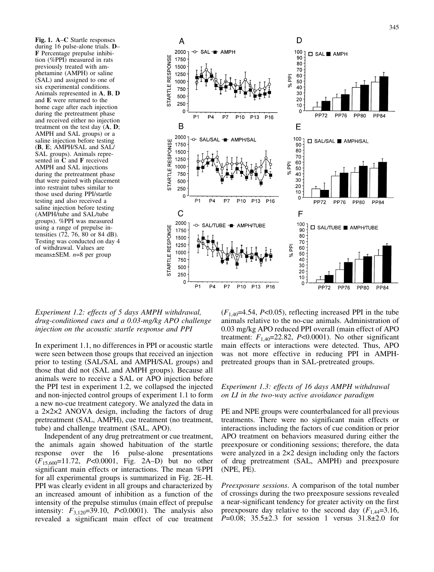Fig. 1. A–C Startle responses during 16 pulse-alone trials. D– F Percentage prepulse inhibition (%PPI) measured in rats previously treated with amphetamine (AMPH) or saline (SAL) and assigned to one of six experimental conditions. Animals represented in A, B, D and E were returned to the home cage after each injection during the pretreatment phase and received either no injection treatment on the test day  $(A, D)$ ; AMPH and SAL groups) or a saline injection before testing (B, E; AMPH/SAL and SAL/ SAL groups). Animals represented in  $\overline{C}$  and  $\overline{F}$  received AMPH and SAL injections during the pretreatment phase that were paired with placement into restraint tubes similar to those used during PPI/startle testing and also received a saline injection before testing (AMPH/tube and SAL/tube groups). %PPI was measured using a range of prepulse intensities  $(72, 76, 80 \text{ or } 84 \text{ dB})$ . Testing was conducted on day 4 of withdrawal. Values are means $\pm$ SEM. *n*=8 per group



Experiment 1.2: effects of 5 days AMPH withdrawal, drug-conditioned cues and a 0.03-mg/kg APO challenge injection on the acoustic startle response and PPI

In experiment 1.1, no differences in PPI or acoustic startle were seen between those groups that received an injection prior to testing (SAL/SAL and AMPH/SAL groups) and those that did not (SAL and AMPH groups). Because all animals were to receive a SAL or APO injection before the PPI test in experiment 1.2, we collapsed the injected and non-injected control groups of experiment 1.1 to form a new no-cue treatment category. We analyzed the data in a 2×2×2 ANOVA design, including the factors of drug pretreatment (SAL, AMPH), cue treatment (no treatment, tube) and challenge treatment (SAL, APO).

Independent of any drug pretreatment or cue treatment, the animals again showed habituation of the startle response over the 16 pulse-alone presentations  $(F_{15,600}=11.72, P<0.0001, Fig. 2A-D)$  but no other significant main effects or interactions. The mean %PPI for all experimental groups is summarized in Fig. 2E–H. PPI was clearly evident in all groups and characterized by an increased amount of inhibition as a function of the intensity of the prepulse stimulus (main effect of prepulse intensity:  $F_{3,120} = 39.10$ ,  $P < 0.0001$ ). The analysis also revealed a significant main effect of cue treatment

 $(F_{1,40}=4.54, P<0.05)$ , reflecting increased PPI in the tube animals relative to the no-cue animals. Administration of 0.03 mg/kg APO reduced PPI overall (main effect of APO treatment:  $F_{1,40}$ =22.82, P<0.0001). No other significant main effects or interactions were detected. Thus, APO was not more effective in reducing PPI in AMPHpretreated groups than in SAL-pretreated groups.

#### Experiment 1.3: effects of 16 days AMPH withdrawal on LI in the two-way active avoidance paradigm

PE and NPE groups were counterbalanced for all previous treatments. There were no significant main effects or interactions including the factors of cue condition or prior APO treatment on behaviors measured during either the preexposure or conditioning sessions; therefore, the data were analyzed in a  $2\times 2$  design including only the factors of drug pretreatment (SAL, AMPH) and preexposure (NPE, PE).

Preexposure sessions. A comparison of the total number of crossings during the two preexposure sessions revealed a near-significant tendency for greater activity on the first preexposure day relative to the second day  $(F_{1,44}=3.16,$ P=0.08;  $35.5\pm2.3$  for session 1 versus  $31.8\pm2.0$  for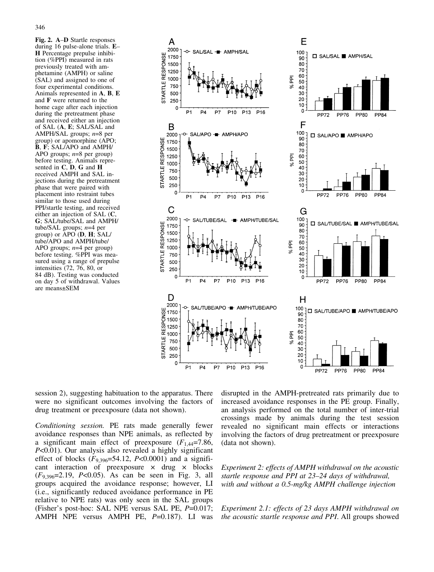Fig. 2. A–D Startle responses during 16 pulse-alone trials. E– H Percentage prepulse inhibition (%PPI) measured in rats previously treated with amphetamine (AMPH) or saline (SAL) and assigned to one of four experimental conditions. Animals represented in A, B, E and F were returned to the home cage after each injection during the pretreatment phase and received either an injection of SAL (A, E; SAL/SAL and AMPH/SAL groups; n=8 per group) or apomorphine (APO; B, F; SAL/APO and AMPH/ APO groups;  $n=8$  per group) before testing. Animals represented in C, D, G and H received AMPH and SAL injections during the pretreatment phase that were paired with placement into restraint tubes similar to those used during PPI/startle testing, and received either an injection of SAL (C, G; SAL/tube/SAL and AMPH/ tube/SAL groups;  $n=4$  per group) or  $\overrightarrow{APO}$  (D, H;  $\overrightarrow{SAL}$ tube/APO and AMPH/tube/ APO groups;  $n=4$  per group) before testing. %PPI was measured using a range of prepulse intensities (72, 76, 80, or 84 dB). Testing was conducted on day 5 of withdrawal. Values are means±SEM



session 2), suggesting habituation to the apparatus. There were no significant outcomes involving the factors of drug treatment or preexposure (data not shown).

Conditioning session. PE rats made generally fewer avoidance responses than NPE animals, as reflected by a significant main effect of preexposure  $(F<sub>1,44</sub>=7.86)$ , P<0.01). Our analysis also revealed a highly significant effect of blocks  $(F_{9,396} = 54.12, P < 0.0001)$  and a significant interaction of preexposure  $\times$  drug  $\times$  blocks  $(F_{9,396}=2.19, P<0.05)$ . As can be seen in Fig. 3, all groups acquired the avoidance response; however, LI (i.e., significantly reduced avoidance performance in PE relative to NPE rats) was only seen in the SAL groups (Fisher's post-hoc: SAL NPE versus SAL PE,  $P=0.017$ ; AMPH NPE versus AMPH PE, P=0.187). LI was

disrupted in the AMPH-pretreated rats primarily due to increased avoidance responses in the PE group. Finally, an analysis performed on the total number of inter-trial crossings made by animals during the test session revealed no significant main effects or interactions involving the factors of drug pretreatment or preexposure (data not shown).

Experiment 2: effects of AMPH withdrawal on the acoustic startle response and PPI at 23–24 days of withdrawal, with and without a 0.5-mg/kg AMPH challenge injection

Experiment 2.1: effects of 23 days AMPH withdrawal on the acoustic startle response and PPI. All groups showed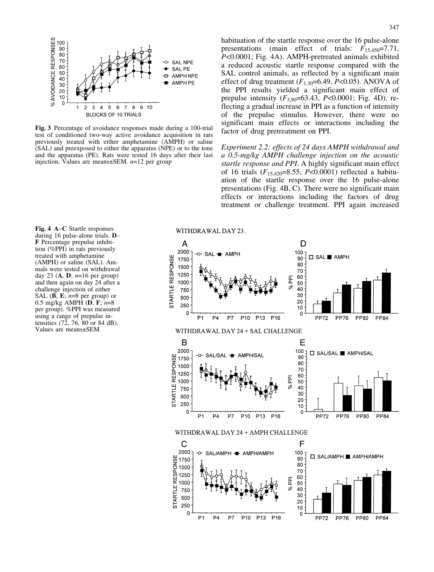

Fig. 3 Percentage of avoidance responses made during a 100-trial test of conditioned two-way active avoidance acquisition in rats previously treated with either amphetamine (AMPH) or saline (SAL) and preexposed to either the apparatus (NPE) or to the tone and the apparatus (PE). Rats were tested 16 days after their last injection. Values are means $\pm$ SEM. *n*=12 per group

habituation of the startle response over the 16 pulse-alone presentations (main effect of trials:  $F_{15,450} = 7.71$ , P<0.0001; Fig. 4A). AMPH-pretreated animals exhibited a reduced acoustic startle response compared with the SAL control animals, as reflected by a significant main effect of drug treatment  $(F_{1,30} = 6.49, P < 0.05)$ . ANOVA of the PPI results yielded a significant main effect of prepulse intensity  $(F_{3,90} = 63.43, P < 0.0001;$  Fig. 4D), reflecting a gradual increase in PPI as a function of intensity of the prepulse stimulus. However, there were no significant main effects or interactions including the factor of drug pretreatment on PPI.

Experiment 2.2: effects of 24 days AMPH withdrawal and a 0.5-mg/kg AMPH challenge injection on the acoustic startle response and PPI. A highly significant main effect of 16 trials  $(F_{15,420}=8.55, P<0.0001)$  reflected a habituation of the startle response over the 16 pulse-alone presentations (Fig. 4B, C). There were no significant main effects or interactions including the factors of drug treatment or challenge treatment. PPI again increased

Fig. 4 A–C Startle responses during 16 pulse-alone trials. D– F Percentage prepulse inhibition (%PPI) in rats previously treated with amphetamine (AMPH) or saline (SAL). Animals were tested on withdrawal day 23 (A, D;  $n=16$  per group) and then again on day 24 after a challenge injection of either SAL  $(\mathbf{B}, \mathbf{E}; n=8 \text{ per group})$  or 0.5 mg/kg AMPH  $(D, F; n=8)$ per group). %PPI was measured using a range of prepulse intensities  $(72, 76, 80 \text{ or } 84 \text{ dB})$ . Values are means±SEM

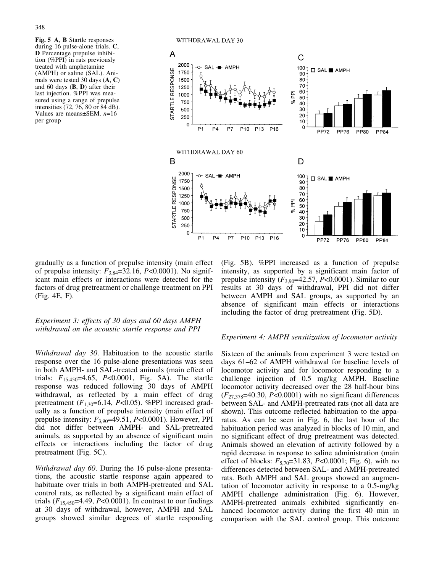Fig. 5 A, B Startle responses during 16 pulse-alone trials. C, D Percentage prepulse inhibition (%PPI) in rats previously treated with amphetamine (AMPH) or saline (SAL). Animals were tested 30 days (A, C) and 60 days (B, D) after their last injection. %PPI was measured using a range of prepulse intensities (72, 76, 80 or 84 dB). Values are means $\pm$ SEM.  $n=16$ per group

#### WITHDRAWAL DAY 30



gradually as a function of prepulse intensity (main effect of prepulse intensity:  $F_{3,84}=32.16$ , P<0.0001). No significant main effects or interactions were detected for the factors of drug pretreatment or challenge treatment on PPI (Fig. 4E, F).

#### Experiment 3: effects of 30 days and 60 days AMPH withdrawal on the acoustic startle response and PPI

Withdrawal day 30. Habituation to the acoustic startle response over the 16 pulse-alone presentations was seen in both AMPH- and SAL-treated animals (main effect of trials:  $F_{15,450} = 4.65$ ,  $P < 0.0001$ , Fig. 5A). The startle response was reduced following 30 days of AMPH withdrawal, as reflected by a main effect of drug pretreatment  $(F_{1,30} = 6.14, P < 0.05)$ . %PPI increased gradually as a function of prepulse intensity (main effect of prepulse intensity:  $F_{3,90}$ =49.51, P<0.0001). However, PPI did not differ between AMPH- and SAL-pretreated animals, as supported by an absence of significant main effects or interactions including the factor of drug pretreatment (Fig. 5C).

Withdrawal day 60. During the 16 pulse-alone presentations, the acoustic startle response again appeared to habituate over trials in both AMPH-pretreated and SAL control rats, as reflected by a significant main effect of trials  $(F_{15,450} = 4.49, P < 0.0001)$ . In contrast to our findings at 30 days of withdrawal, however, AMPH and SAL groups showed similar degrees of startle responding

(Fig. 5B). %PPI increased as a function of prepulse intensity, as supported by a significant main factor of prepulse intensity  $(F_{3,90} = 42.57, P < 0.0001)$ . Similar to our results at 30 days of withdrawal, PPI did not differ between AMPH and SAL groups, as supported by an absence of significant main effects or interactions including the factor of drug pretreatment (Fig. 5D).

#### Experiment 4: AMPH sensitization of locomotor activity

Sixteen of the animals from experiment 3 were tested on days 61–62 of AMPH withdrawal for baseline levels of locomotor activity and for locomotor responding to a challenge injection of 0.5 mg/kg AMPH. Baseline locomotor activity decreased over the 28 half-hour bins  $(F_{27,378}=40.30, P<0.0001)$  with no significant differences between SAL- and AMPH-pretreated rats (not all data are shown). This outcome reflected habituation to the apparatus. As can be seen in Fig. 6, the last hour of the habituation period was analyzed in blocks of 10 min, and no significant effect of drug pretreatment was detected. Animals showed an elevation of activity followed by a rapid decrease in response to saline administration (main effect of blocks:  $F_{5,70} = 31.83$ ,  $P < 0.0001$ ; Fig. 6), with no differences detected between SAL- and AMPH-pretreated rats. Both AMPH and SAL groups showed an augmentation of locomotor activity in response to a 0.5-mg/kg AMPH challenge administration (Fig. 6). However, AMPH-pretreated animals exhibited significantly enhanced locomotor activity during the first 40 min in comparison with the SAL control group. This outcome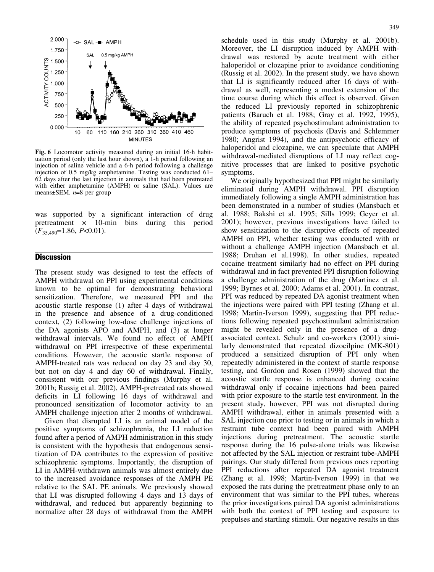

Fig. 6 Locomotor activity measured during an initial 16-h habituation period (only the last hour shown), a 1-h period following an injection of saline vehicle and a 6-h period following a challenge injection of 0.5 mg/kg amphetamine. Testing was conducted 61– 62 days after the last injection in animals that had been pretreated with either amphetamine (AMPH) or saline (SAL). Values are means $\pm$ SEM. *n*=8 per group

was supported by a significant interaction of drug pretreatment  $\times$  10-min bins during this period  $(F_{35,490}=1.86, P<0.01).$ 

#### **Discussion**

The present study was designed to test the effects of AMPH withdrawal on PPI using experimental conditions known to be optimal for demonstrating behavioral sensitization. Therefore, we measured PPI and the acoustic startle response (1) after 4 days of withdrawal in the presence and absence of a drug-conditioned context, (2) following low-dose challenge injections of the DA agonists APO and AMPH, and (3) at longer withdrawal intervals. We found no effect of AMPH withdrawal on PPI irrespective of these experimental conditions. However, the acoustic startle response of AMPH-treated rats was reduced on day 23 and day 30, but not on day 4 and day 60 of withdrawal. Finally, consistent with our previous findings (Murphy et al. 2001b; Russig et al. 2002), AMPH-pretreated rats showed deficits in LI following 16 days of withdrawal and pronounced sensitization of locomotor activity to an AMPH challenge injection after 2 months of withdrawal.

Given that disrupted LI is an animal model of the positive symptoms of schizophrenia, the LI reduction found after a period of AMPH administration in this study is consistent with the hypothesis that endogenous sensitization of DA contributes to the expression of positive schizophrenic symptoms. Importantly, the disruption of LI in AMPH-withdrawn animals was almost entirely due to the increased avoidance responses of the AMPH PE relative to the SAL PE animals. We previously showed that LI was disrupted following 4 days and 13 days of withdrawal, and reduced but apparently beginning to normalize after 28 days of withdrawal from the AMPH

schedule used in this study (Murphy et al. 2001b). Moreover, the LI disruption induced by AMPH withdrawal was restored by acute treatment with either haloperidol or clozapine prior to avoidance conditioning (Russig et al. 2002). In the present study, we have shown that LI is significantly reduced after 16 days of withdrawal as well, representing a modest extension of the time course during which this effect is observed. Given the reduced LI previously reported in schizophrenic patients (Baruch et al. 1988; Gray et al. 1992, 1995), the ability of repeated psychostimulant administration to produce symptoms of psychosis (Davis and Schlemmer 1980; Angrist 1994), and the antipsychotic efficacy of haloperidol and clozapine, we can speculate that AMPH withdrawal-mediated disruptions of LI may reflect cognitive processes that are linked to positive psychotic symptoms.

We originally hypothesized that PPI might be similarly eliminated during AMPH withdrawal. PPI disruption immediately following a single AMPH administration has been demonstrated in a number of studies (Mansbach et al. 1988; Bakshi et al. 1995; Sills 1999; Geyer et al. 2001); however, previous investigations have failed to show sensitization to the disruptive effects of repeated AMPH on PPI, whether testing was conducted with or without a challenge AMPH injection (Mansbach et al. 1988; Druhan et al.1998). In other studies, repeated cocaine treatment similarly had no effect on PPI during withdrawal and in fact prevented PPI disruption following a challenge administration of the drug (Martinez et al. 1999; Byrnes et al. 2000; Adams et al. 2001). In contrast, PPI was reduced by repeated DA agonist treatment when the injections were paired with PPI testing (Zhang et al. 1998; Martin-Iverson 1999), suggesting that PPI reductions following repeated psychostimulant administration might be revealed only in the presence of a drugassociated context. Schulz and co-workers (2001) similarly demonstrated that repeated dizocilpine (MK-801) produced a sensitized disruption of PPI only when repeatedly administered in the context of startle response testing, and Gordon and Rosen (1999) showed that the acoustic startle response is enhanced during cocaine withdrawal only if cocaine injections had been paired with prior exposure to the startle test environment. In the present study, however, PPI was not disrupted during AMPH withdrawal, either in animals presented with a SAL injection cue prior to testing or in animals in which a restraint tube context had been paired with AMPH injections during pretreatment. The acoustic startle response during the 16 pulse-alone trials was likewise not affected by the SAL injection or restraint tube-AMPH pairings. Our study differed from previous ones reporting PPI reductions after repeated DA agonist treatment (Zhang et al. 1998; Martin-Iverson 1999) in that we exposed the rats during the pretreatment phase only to an environment that was similar to the PPI tubes, whereas the prior investigations paired DA agonist administrations with both the context of PPI testing and exposure to prepulses and startling stimuli. Our negative results in this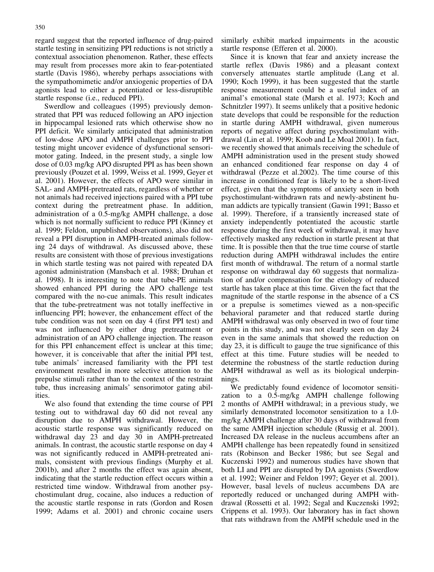regard suggest that the reported influence of drug-paired startle testing in sensitizing PPI reductions is not strictly a contextual association phenomenon. Rather, these effects may result from processes more akin to fear-potentiated startle (Davis 1986), whereby perhaps associations with the sympathomimetic and/or anxiogenic properties of DA agonists lead to either a potentiated or less-disruptible startle response (i.e., reduced PPI).

Swerdlow and colleagues (1995) previously demonstrated that PPI was reduced following an APO injection in hippocampal lesioned rats which otherwise show no PPI deficit. We similarly anticipated that administration of low-dose APO and AMPH challenges prior to PPI testing might uncover evidence of dysfunctional sensorimotor gating. Indeed, in the present study, a single low dose of 0.03 mg/kg APO disrupted PPI as has been shown previously (Pouzet et al. 1999, Weiss et al. 1999, Geyer et al. 2001). However, the effects of APO were similar in SAL- and AMPH-pretreated rats, regardless of whether or not animals had received injections paired with a PPI tube context during the pretreatment phase. In addition, administration of a 0.5-mg/kg AMPH challenge, a dose which is not normally sufficient to reduce PPI (Kinney et al. 1999; Feldon, unpublished observations), also did not reveal a PPI disruption in AMPH-treated animals following 24 days of withdrawal. As discussed above, these results are consistent with those of previous investigations in which startle testing was not paired with repeated DA agonist administration (Mansbach et al. 1988; Druhan et al. 1998). It is interesting to note that tube-PE animals showed enhanced PPI during the APO challenge test compared with the no-cue animals. This result indicates that the tube-pretreatment was not totally ineffective in influencing PPI; however, the enhancement effect of the tube condition was not seen on day 4 (first PPI test) and was not influenced by either drug pretreatment or administration of an APO challenge injection. The reason for this PPI enhancement effect is unclear at this time; however, it is conceivable that after the initial PPI test, tube animals' increased familiarity with the PPI test environment resulted in more selective attention to the prepulse stimuli rather than to the context of the restraint tube, thus increasing animals' sensorimotor gating abilities.

We also found that extending the time course of PPI testing out to withdrawal day 60 did not reveal any disruption due to AMPH withdrawal. However, the acoustic startle response was significantly reduced on withdrawal day 23 and day 30 in AMPH-pretreated animals. In contrast, the acoustic startle response on day 4 was not significantly reduced in AMPH-pretreated animals, consistent with previous findings (Murphy et al. 2001b), and after 2 months the effect was again absent, indicating that the startle reduction effect occurs within a restricted time window. Withdrawal from another psychostimulant drug, cocaine, also induces a reduction of the acoustic startle response in rats (Gordon and Rosen 1999; Adams et al. 2001) and chronic cocaine users

similarly exhibit marked impairments in the acoustic startle response (Efferen et al. 2000).

Since it is known that fear and anxiety increase the startle reflex (Davis 1986) and a pleasant context conversely attenuates startle amplitude (Lang et al. 1990; Koch 1999), it has been suggested that the startle response measurement could be a useful index of an animal's emotional state (Marsh et al. 1973; Koch and Schnitzler 1997). It seems unlikely that a positive hedonic state develops that could be responsible for the reduction in startle during AMPH withdrawal, given numerous reports of negative affect during psychostimulant withdrawal (Lin et al. 1999; Koob and Le Moal 2001). In fact, we recently showed that animals receiving the schedule of AMPH administration used in the present study showed an enhanced conditioned fear response on day 4 of withdrawal (Pezze et al.2002). The time course of this increase in conditioned fear is likely to be a short-lived effect, given that the symptoms of anxiety seen in both psychostimulant-withdrawn rats and newly-abstinent human addicts are typically transient (Gawin 1991; Basso et al. 1999). Therefore, if a transiently increased state of anxiety independently potentiated the acoustic startle response during the first week of withdrawal, it may have effectively masked any reduction in startle present at that time. It is possible then that the true time course of startle reduction during AMPH withdrawal includes the entire first month of withdrawal. The return of a normal startle response on withdrawal day 60 suggests that normalization of and/or compensation for the etiology of reduced startle has taken place at this time. Given the fact that the magnitude of the startle response in the absence of a CS or a prepulse is sometimes viewed as a non-specific behavioral parameter and that reduced startle during AMPH withdrawal was only observed in two of four time points in this study, and was not clearly seen on day 24 even in the same animals that showed the reduction on day 23, it is difficult to gauge the true significance of this effect at this time. Future studies will be needed to determine the robustness of the startle reduction during AMPH withdrawal as well as its biological underpinnings.

We predictably found evidence of locomotor sensitization to a 0.5-mg/kg AMPH challenge following 2 months of AMPH withdrawal; in a previous study, we similarly demonstrated locomotor sensitization to a 1.0 mg/kg AMPH challenge after 30 days of withdrawal from the same AMPH injection schedule (Russig et al. 2001). Increased DA release in the nucleus accumbens after an AMPH challenge has been repeatedly found in sensitized rats (Robinson and Becker 1986; but see Segal and Kuczenski 1992) and numerous studies have shown that both LI and PPI are disrupted by DA agonists (Swerdlow et al. 1992; Weiner and Feldon 1997; Geyer et al. 2001). However, basal levels of nucleus accumbens DA are reportedly reduced or unchanged during AMPH withdrawal (Rossetti et al. 1992; Segal and Kuczenski 1992; Crippens et al. 1993). Our laboratory has in fact shown that rats withdrawn from the AMPH schedule used in the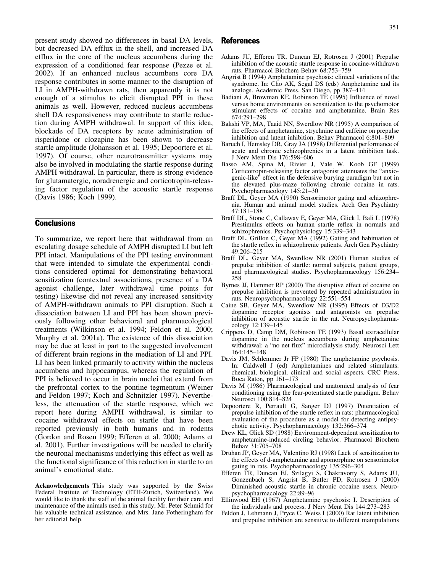present study showed no differences in basal DA levels, but decreased DA efflux in the shell, and increased DA efflux in the core of the nucleus accumbens during the expression of a conditioned fear response (Pezze et al. 2002). If an enhanced nucleus accumbens core DA response contributes in some manner to the disruption of LI in AMPH-withdrawn rats, then apparently it is not enough of a stimulus to elicit disrupted PPI in these animals as well. However, reduced nucleus accumbens shell DA responsiveness may contribute to startle reduction during AMPH withdrawal. In support of this idea, blockade of DA receptors by acute administration of risperidone or clozapine has been shown to decrease startle amplitude (Johansson et al. 1995; Depoortere et al. 1997). Of course, other neurotransmitter systems may also be involved in modulating the startle response during AMPH withdrawal. In particular, there is strong evidence for glutamatergic, noradrenergic and corticotropin-releasing factor regulation of the acoustic startle response (Davis 1986; Koch 1999).

#### **Conclusions**

To summarize, we report here that withdrawal from an escalating dosage schedule of AMPH disrupted LI but left PPI intact. Manipulations of the PPI testing environment that were intended to simulate the experimental conditions considered optimal for demonstrating behavioral sensitization (contextual associations, presence of a DA agonist challenge, later withdrawal time points for testing) likewise did not reveal any increased sensitivity of AMPH-withdrawn animals to PPI disruption. Such a dissociation between LI and PPI has been shown previously following other behavioral and pharmacological treatments (Wilkinson et al. 1994; Feldon et al. 2000; Murphy et al. 2001a). The existence of this dissociation may be due at least in part to the suggested involvement of different brain regions in the mediation of LI and PPI. LI has been linked primarily to activity within the nucleus accumbens and hippocampus, whereas the regulation of PPI is believed to occur in brain nuclei that extend from the prefrontal cortex to the pontine tegmentum (Weiner and Feldon 1997; Koch and Schnitzler 1997). Nevertheless, the attenuation of the startle response, which we report here during AMPH withdrawal, is similar to cocaine withdrawal effects on startle that have been reported previously in both humans and in rodents (Gordon and Rosen 1999; Efferen et al. 2000; Adams et al. 2001). Further investigations will be needed to clarify the neuronal mechanisms underlying this effect as well as the functional significance of this reduction in startle to an animal's emotional state.

Acknowledgements This study was supported by the Swiss Federal Institute of Technology (ETH-Zurich, Switzerland). We would like to thank the staff of the animal facility for their care and maintenance of the animals used in this study, Mr. Peter Schmid for his valuable technical assistance, and Mrs. Jane Fotheringham for her editorial help.

#### References

- Adams JU, Efferen TR, Duncan EJ, Rotrosen J (2001) Prepulse inhibition of the acoustic startle response in cocaine-withdrawn rats. Pharmacol Biochem Behav 68:753–759
- Angrist B (1994) Amphetamine psychosis: clinical variations of the syndrome. In: Cho AK, Segal DS (eds) Amphetamine and its analogs. Academic Press, San Diego, pp 387–414
- Badiani A, Browman KE, Robinson TE (1995) Influence of novel versus home environments on sensitization to the psychomotor stimulant effects of cocaine and amphetamine. Brain Res 674:291–298
- Bakshi VP, MA, Taaid NN, Swerdlow NR (1995) A comparison of the effects of amphetamine, strychnine and caffeine on prepulse inhibition and latent inhibition. Behav Pharmacol 6:801–809
- Baruch I, Hemsley DR, Gray JA (1988) Differential performance of acute and chronic schizophrenics in a latent inhibition task. J Nerv Ment Dis 176:598–606
- Basso AM, Spina M, Rivier J, Vale W, Koob GF (1999) Corticotropin-releasing factor antagonist attenuates the "anxiogenic-like" effect in the defensive burying paradigm but not in the elevated plus-maze following chronic cocaine in rats. Psychopharmacology 145:21–30
- Braff DL, Geyer MA (1990) Sensorimotor gating and schizophrenia. Human and animal model studies. Arch Gen Psychiatry 47:181–188
- Braff DL, Stone C, Callaway E, Geyer MA, Glick I, Bali L (1978) Prestimulus effects on human startle reflex in normals and schizophrenics. Psychophysiology 15:339–343
- Braff DL, Grillon C, Geyer MA (1992) Gating and habituation of the startle reflex in schizophrenic patients. Arch Gen Psychiatry 49:206–215
- Braff DL, Geyer MA, Swerdlow NR (2001) Human studies of prepulse inhibition of startle: normal subjects, patient groups, and pharmacological studies. Psychopharmacology 156:234– 258
- Byrnes JJ, Hammer RP (2000) The disruptive effect of cocaine on prepulse inhibition is prevented by repeated administration in rats. Neuropsychopharmacology 22:551–554
- Caine SB, Geyer MA, Swerdlow NR (1995) Effects of D3/D2 dopamine receptor agonists and antagonists on prepulse inhibition of acoustic startle in the rat. Neuropsychopharmacology 12:139–145
- Crippens D, Camp DM, Robinson TE (1993) Basal extracellular dopamine in the nucleus accumbens during amphetamine withdrawal: a "no net flux" microdialysis study. Neurosci Lett 164:145–148
- Davis JM, Schlemmer Jr FP (1980) The amphetamine psychosis. In: Caldwell J (ed) Amphetamines and related stimulants: chemical, biological, clinical and social aspects. CRC Press, Boca Raton, pp 161–173
- Davis M (1986) Pharmacological and anatomical analysis of fear conditioning using the fear-potentiated startle paradigm. Behav Neurosci 100:814–824
- Depoortere R, Perrault G, Sanger DJ (1997) Potentiation of prepulse inhibition of the startle reflex in rats: pharmacological evaluation of the procedure as a model for detecting antipsychotic activity. Psychopharmacology 132:366–374
- Drew KL, Glick SD (1988) Environment-dependent sensitization to amphetamine-induced circling behavior. Pharmacol Biochem Behav 31:705–708
- Druhan JP, Geyer MA, Valentino RJ (1998) Lack of sensitization to the effects of d-amphetamine and apomorphine on sensorimotor gating in rats. Psychopharmacology 135:296–304
- Efferen TR, Duncan EJ, Szilagyi S, Chakravorty S, Adams JU, Gonzenbach S, Angrist B, Butler PD, Rotrosen J (2000) Diminished acoustic startle in chronic cocaine users. Neuropsychopharmacology 22:89–96
- Ellinwood EH (1967) Amphetamine psychosis: I. Description of the individuals and process. J Nerv Ment Dis 144:273–283
- Feldon J, Lehmann J, Pryce C, Weiss I (2000) Rat latent inhibition and prepulse inhibition are sensitive to different manipulations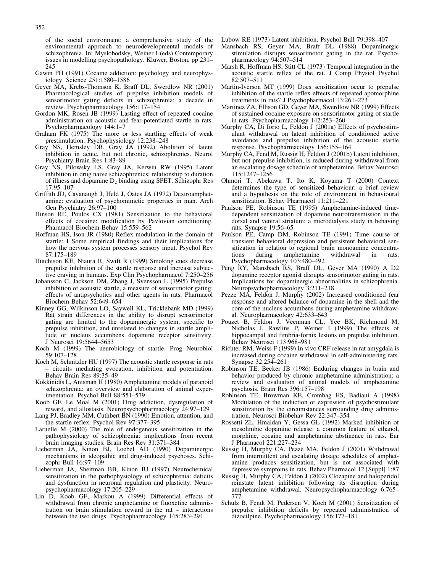of the social environment: a comprehensive study of the environmental approach to neurodevelopmental models of schizophrenia. In: Myslobodsky, Weiner I (eds) Contemporary issues in modelling psychopathology. Kluwer, Boston, pp 231– 245

- Gawin FH (1991) Cocaine addiction: psychology and neurophysiology. Science 251:1580–1586
- Geyer MA, Krebs-Thomson K, Braff DL, Swerdlow NR (2001) Pharmacological studies of prepulse inhibition models of sensorimotor gating deficits in schizophrenia: a decade in review. Psychopharmacology 156:117–154
- Gordon MK, Rosen JB (1999) Lasting effect of repeated cocaine administration on acoustic and fear-potentiated startle in rats. Psychopharmacology 144:1–7
- Graham FK (1975) The more or less startling effects of weak prestimulation. Psychophysiology 12:238–248
- Gray NS, Hemsley DR, Gray JA (1992) Abolition of latent inhibition in acute, but not chronic, schizophrenics. Neurol Psychiatry Brain Res 1:83–89
- Gray NS, Pilowsky LS, Gray JA, Kerwin RW (1995) Latent inhibition in drug naive schizophrenics: relationship to duration of illness and dopamine D2 binding using SPET. Schizophr Res 17:95–107
- Griffith JD, Cavanaugh J, Held J, Oates JA (1972) Dextroamphetamine: evaluation of psychomimetic properties in man. Arch Gen Psychiatry 26:97–100
- Hinson RE, Poulos CX (1981) Sensitization to the behavioral effects of cocaine: modification by Pavlovian conditioning. Pharmacol Biochem Behav 15:559–562
- Hoffman HS, Ison JR (1980) Reflex modulation in the domain of startle: I Some empirical findings and their implications for how the nervous system processes sensory input. Psychol Rev 87:175–189
- Hutchison KE, Niaura R, Swift R (1999) Smoking cues decrease prepulse inhibition of the startle response and increase subjective craving in humans. Exp Clin Psychopharmacol 7:250–256
- Johansson C, Jackson DM, Zhang J, Svensson L (1995) Prepulse inhibition of acoustic startle, a measure of sensorimotor gating: effects of antipsychotics and other agents in rats. Pharmacol Biochem Behav 52:649–654
- Kinney GG, Wilkinson LO, Saywell KL, Tricklebank MD (1999) Rat strain differences in the ability to disrupt sensorimotor gating are limited to the dopaminergic system, specific to prepulse inhibition, and unrelated to changes in startle amplitude or nucleus accumbens dopamine receptor sensitivity. J Neurosci 19:5644–5653
- Koch M (1999) The neurobiology of startle. Prog Neurobiol 59:107–128
- Koch M, Schnitzler HU (1997) The acoustic startle response in rats – circuits mediating evocation, inhibition and potentiation. Behav Brain Res 89:35–49
- Kokkinidis L, Anisman H (1980) Amphetamine models of paranoid schizophrenia: an overview and elaboration of animal experimentation. Psychol Bull 88:551–579
- Koob GF, Le Moal M (2001) Drug addiction, dysregulation of reward, and allostasis. Neuropsychopharmacology 24:97–129
- Lang PJ, Bradley MM, Cuthbert BN (1990) Emotion, attention, and the startle reflex. Psychol Rev 97:377–395
- Laruelle M (2000) The role of endogenous sensitization in the pathophysiology of schizophrenia: implications from recent brain imaging studies. Brain Res Rev 31:371–384
- Lieberman JA, Kinon BJ, Loebel AD (1990) Dopaminergic mechanisms in ideopathic and drug-induced psychoses. Schizophr Bull 16:97–109
- Lieberman JA, Sheitman BB, Kinon BJ (1997) Neurochemical sensitization in the pathophysiology of schizophrenia: deficits and dysfunction in neuronal regulation and plasticity. Neuropsychopharmacology 17:205–229
- Lin D, Koob GF, Markou A (1999) Differential effects of withdrawal from chronic amphetamine or fluoxetine administration on brain stimulation reward in the rat – interactions between the two drugs. Psychopharmacology 145:283–294

Lubow RE (1973) Latent inhibition. Psychol Bull 79:398–407

- Mansbach RS, Geyer MA, Braff DL (1988) Dopaminergic stimulation disrupts sensorimotor gating in the rat. Psychopharmacology 94:507–514
- Marsh R, Hoffman HS, Stitt CL (1973) Temporal integration in the acoustic startle reflex of the rat. J Comp Physiol Psychol 82:507–511
- Martin-Iverson MT (1999) Does sensitization occur to prepulse inhibition of the startle reflex effects of repeated apomorphine treatments in rats? J Psychopharmacol 13:261–273
- Martinez ZA, Ellison GD, Geyer MA, Swerdlow NR (1999) Effects of sustained cocaine exposure on sensorimotor gating of startle in rats. Psychopharmacology 142:253–260
- Murphy CA, Di Iorio L, Feldon J (2001a) Effects of psychostimulant withdrawal on latent inhibition of conditioned active avoidance and prepulse inhibition of the acoustic startle response. Psychopharmacology 156:155–164
- Murphy CA, Fend M, Russig H, Feldon J (2001b) Latent inhibition, but not prepulse inhibition, is reduced during withdrawal from an escalating dosage schedule of amphetamine. Behav Neurosci 115:1247–1256
- Ohmori T, Abekawa T, Ito K, Koyama T (2000) Context determines the type of sensitized behaviour: a brief review and a hypothesis on the role of environment in behavioural sensitization. Behav Pharmacol 11:211–221
- Paulson PE, Robinson TE (1995) Amphetamine-induced timedependent sensitization of dopamine neurotransmission in the dorsal and ventral striatum: a microdialysis study in behaving rats. Synapse 19:56–65
- Paulson PE, Camp DM, Robinson TE (1991) Time course of transient behavioral depression and persistent behavioral sensitization in relation to regional brain monoamine concentrations during amphetamine withdrawal in rats. Psychopharmacology 103:480–492
- Peng RY, Mansbach RS, Braff DL, Geyer MA (1990) A D2 dopamine receptor agonist disrupts sensorimotor gating in rats. Implications for dopaminergic abnormalities in schizophrenia. Neuropsychopharmacology 3:211–218
- Pezze MA, Feldon J, Murphy (2002) Increased conditioned fear response and altered balance of dopamine in the shell and the core of the nucleus accumbens during amphetamine withdrawal. Neuropharmacology 42:633–643
- Pouzet B, Feldon J, Veenman CL, Yee BK, Richmond M, Nicholas J, Rawlins P, Weiner I (1999) The effects of hippocampal and fimbria-fornix lesions on prepulse inhibition. Behav Neurosci 113:968–981
- Richter RM, Weiss F (1999) In vivo CRF release in rat amygdala is increased during cocaine withdrawal in self-administering rats. Synapse 32:254–261
- Robinson TE, Becker JB (1986) Enduring changes in brain and behavior produced by chronic amphetamine administration: a review and evaluation of animal models of amphetamine psychosis. Brain Res 396:157–198
- Robinson TE, Browman KE, Crombag HS, Badiani A (1998) Modulation of the induction or expression of psychostimulant sensitization by the circumstances surrounding drug administration. Neurosci Biobehav Rev 22:347–354
- Rossetti ZL, Hmaidan Y, Gessa GL (1992) Marked inhibition of mesolimbic dopamine release: a common feature of ethanol, morphine, cocaine and amphetamine abstinence in rats. Eur J Pharmacol 221:227–234
- Russig H, Murphy CA, Pezze MA, Feldon J (2001) Withdrawal from intermittent and escalating dosage schedules of amphetamine produces sensitization, but is not associated with depressive symptoms in rats. Behav Pharmacol 12 [Suppl] 1:87
- Russig H, Murphy CA, Feldon J (2002) Clozapine and haloperidol reinstate latent inhibition following its disruption during amphetamine withdrawal. Neuropsychopharmacology 6:765– 777
- Schulz B, Fendt M, Pedersen V, Koch M (2001) Sensitization of prepulse inhibition deficits by repeated administration of dizocilpine. Psychopharmacology 156:177–181